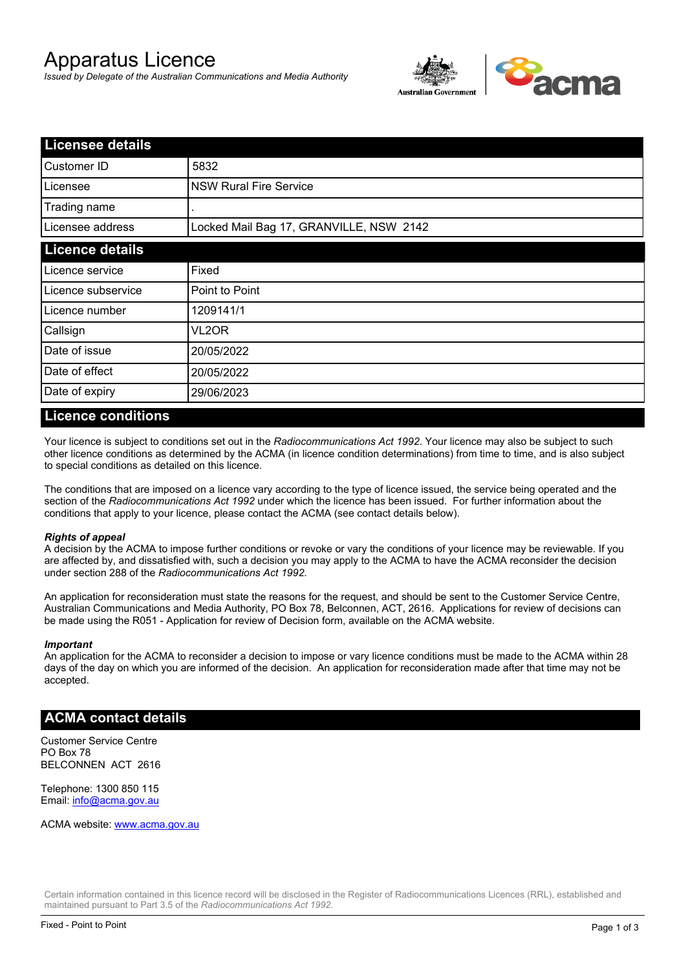# Apparatus Licence

*Issued by Delegate of the Australian Communications and Media Authority*



| <b>Licensee details</b> |                                         |  |
|-------------------------|-----------------------------------------|--|
| Customer ID             | 5832                                    |  |
| Licensee                | <b>NSW Rural Fire Service</b>           |  |
| Trading name            |                                         |  |
| Licensee address        | Locked Mail Bag 17, GRANVILLE, NSW 2142 |  |
| <b>Licence details</b>  |                                         |  |
| Licence service         | Fixed                                   |  |
| Licence subservice      | Point to Point                          |  |
| Licence number          | 1209141/1                               |  |
| Callsign                | VL2OR                                   |  |
| Date of issue           | 20/05/2022                              |  |
| Date of effect          | 20/05/2022                              |  |
| Date of expiry          | 29/06/2023                              |  |

### **Licence conditions**

Your licence is subject to conditions set out in the *Radiocommunications Act 1992*. Your licence may also be subject to such other licence conditions as determined by the ACMA (in licence condition determinations) from time to time, and is also subject to special conditions as detailed on this licence.

The conditions that are imposed on a licence vary according to the type of licence issued, the service being operated and the section of the *Radiocommunications Act 1992* under which the licence has been issued. For further information about the conditions that apply to your licence, please contact the ACMA (see contact details below).

### *Rights of appeal*

A decision by the ACMA to impose further conditions or revoke or vary the conditions of your licence may be reviewable. If you are affected by, and dissatisfied with, such a decision you may apply to the ACMA to have the ACMA reconsider the decision under section 288 of the *Radiocommunications Act 1992*.

An application for reconsideration must state the reasons for the request, and should be sent to the Customer Service Centre, Australian Communications and Media Authority, PO Box 78, Belconnen, ACT, 2616. Applications for review of decisions can be made using the R051 - Application for review of Decision form, available on the ACMA website.

#### *Important*

An application for the ACMA to reconsider a decision to impose or vary licence conditions must be made to the ACMA within 28 days of the day on which you are informed of the decision. An application for reconsideration made after that time may not be accepted.

### **ACMA contact details**

Customer Service Centre PO Box 78 BELCONNEN ACT 2616

Telephone: 1300 850 115 Email: info@acma.gov.au

ACMA website: www.acma.gov.au

Certain information contained in this licence record will be disclosed in the Register of Radiocommunications Licences (RRL), established and maintained pursuant to Part 3.5 of the *Radiocommunications Act 1992.*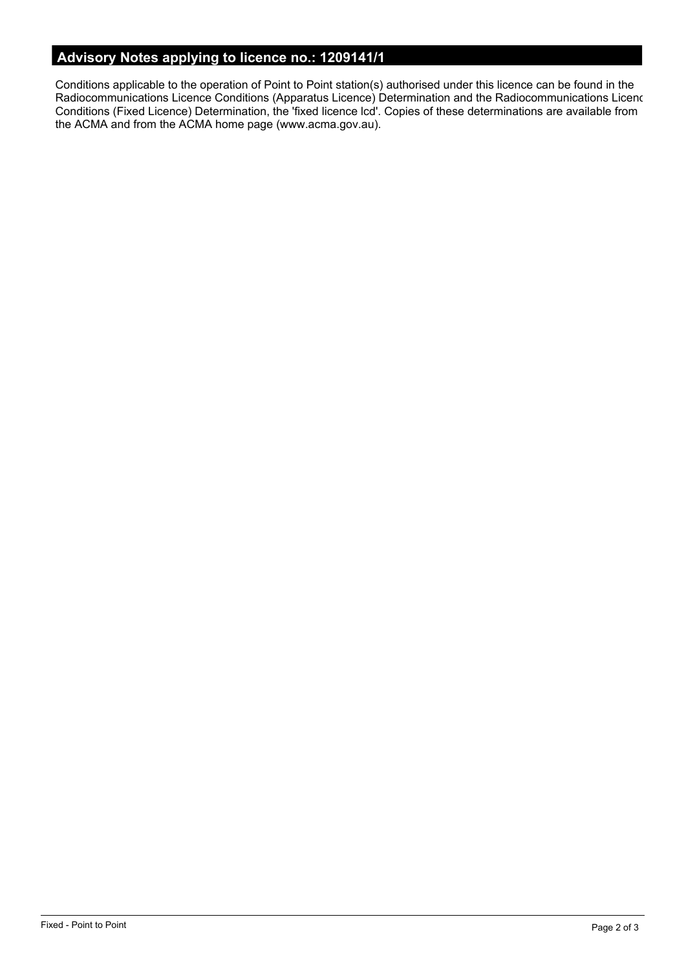# **Advisory Notes applying to licence no.: 1209141/1**

Conditions applicable to the operation of Point to Point station(s) authorised under this licence can be found in the Radiocommunications Licence Conditions (Apparatus Licence) Determination and the Radiocommunications Licence Conditions (Fixed Licence) Determination, the 'fixed licence lcd'. Copies of these determinations are available from the ACMA and from the ACMA home page (www.acma.gov.au).